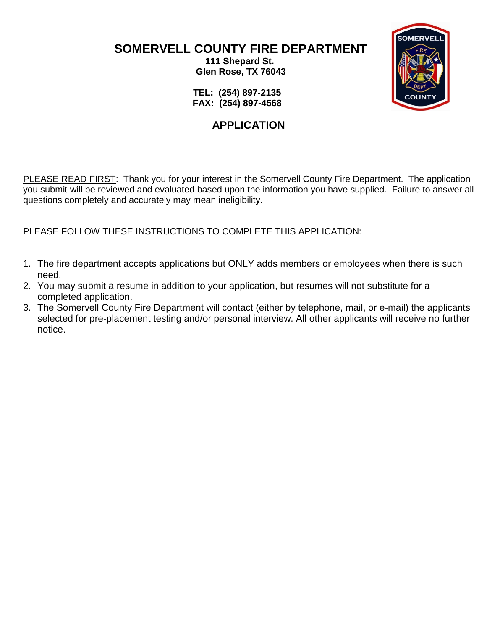**SOMERVELL COUNTY FIRE DEPARTMENT 111 Shepard St.**

 **Glen Rose, TX 76043**



 **TEL: (254) 897-2135 FAX: (254) 897-4568**

# **APPLICATION**

PLEASE READ FIRST: Thank you for your interest in the Somervell County Fire Department. The application you submit will be reviewed and evaluated based upon the information you have supplied. Failure to answer all questions completely and accurately may mean ineligibility.

## PLEASE FOLLOW THESE INSTRUCTIONS TO COMPLETE THIS APPLICATION:

- 1. The fire department accepts applications but ONLY adds members or employees when there is such need.
- 2. You may submit a resume in addition to your application, but resumes will not substitute for a completed application.
- 3. The Somervell County Fire Department will contact (either by telephone, mail, or e-mail) the applicants selected for pre-placement testing and/or personal interview. All other applicants will receive no further notice.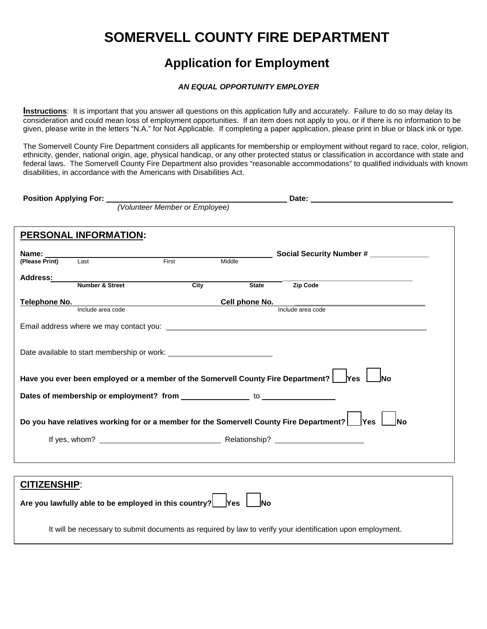# **SOMERVELL COUNTY FIRE DEPARTMENT**

# **Application for Employment**

#### *AN EQUAL OPPORTUNITY EMPLOYER*

**Instructions**: It is important that you answer all questions on this application fully and accurately. Failure to do so may delay its consideration and could mean loss of employment opportunities. If an item does not apply to you, or if there is no information to be given, please write in the letters "N.A." for Not Applicable. If completing a paper application, please print in blue or black ink or type.

The Somervell County Fire Department considers all applicants for membership or employment without regard to race, color, religion, ethnicity, gender, national origin, age, physical handicap, or any other protected status or classification in accordance with state and federal laws. The Somervell County Fire Department also provides "reasonable accommodations" to qualified individuals with known disabilities, in accordance with the Americans with Disabilities Act.

**Position Applying For: Date: Date: Date: Date: Date: Date: Date: Date: Date: Date: Date: Date: Date: Date: Date: Date: Date: Date: Date: Date: Date: Date: Date: Date: Date** 

*(Volunteer Member or Employee)* 

|                                | PERSONAL INFORMATION:                                                      |       |                |                                                                                                             |
|--------------------------------|----------------------------------------------------------------------------|-------|----------------|-------------------------------------------------------------------------------------------------------------|
|                                |                                                                            |       |                |                                                                                                             |
| Name: ______<br>(Please Print) | Last                                                                       | First | Middle         | Social Security Number # ______________                                                                     |
|                                |                                                                            |       |                |                                                                                                             |
| Address:                       | Number & Street                                                            | City  | <b>State</b>   | Zip Code                                                                                                    |
|                                |                                                                            |       |                |                                                                                                             |
| Telephone No.                  | Include area code                                                          |       | Cell phone No. |                                                                                                             |
|                                |                                                                            |       |                | Include area code                                                                                           |
|                                |                                                                            |       |                |                                                                                                             |
|                                |                                                                            |       |                |                                                                                                             |
|                                |                                                                            |       |                |                                                                                                             |
|                                |                                                                            |       |                |                                                                                                             |
|                                |                                                                            |       |                |                                                                                                             |
|                                |                                                                            |       |                | Have you ever been employed or a member of the Somervell County Fire Department?   Yes<br><b>INo</b>        |
|                                |                                                                            |       |                |                                                                                                             |
|                                |                                                                            |       |                |                                                                                                             |
|                                |                                                                            |       |                |                                                                                                             |
|                                |                                                                            |       |                | Do you have relatives working for or a member for the Somervell County Fire Department?   Yes<br><b>INo</b> |
|                                |                                                                            |       |                |                                                                                                             |
|                                |                                                                            |       |                |                                                                                                             |
|                                |                                                                            |       |                |                                                                                                             |
|                                |                                                                            |       |                |                                                                                                             |
|                                |                                                                            |       |                |                                                                                                             |
| <b>CITIZENSHIP:</b>            |                                                                            |       |                |                                                                                                             |
|                                | Are you lawfully able to be employed in this country? $\left  \right $ Yes |       | <b>INo</b>     |                                                                                                             |
|                                |                                                                            |       |                |                                                                                                             |

It will be necessary to submit documents as required by law to verify your identification upon employment.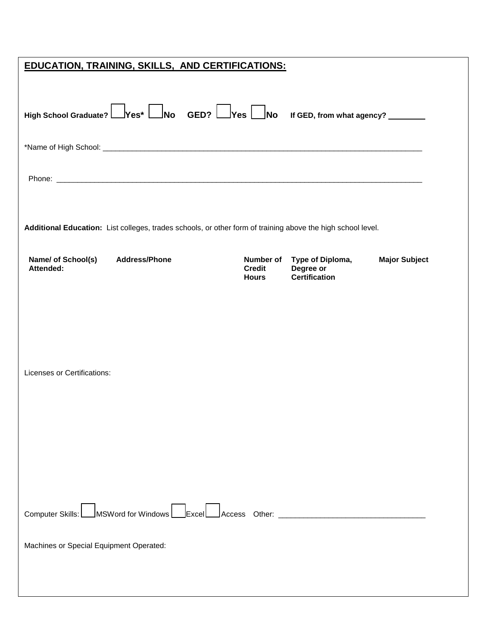| <b>EDUCATION, TRAINING, SKILLS, AND CERTIFICATIONS:</b>                                                     |                                            |                                                       |                      |  |  |  |
|-------------------------------------------------------------------------------------------------------------|--------------------------------------------|-------------------------------------------------------|----------------------|--|--|--|
| High School Graduate? Pes* No GED? Pes No If GED, from what agency?                                         |                                            |                                                       |                      |  |  |  |
|                                                                                                             |                                            |                                                       |                      |  |  |  |
|                                                                                                             |                                            |                                                       |                      |  |  |  |
| Additional Education: List colleges, trades schools, or other form of training above the high school level. |                                            |                                                       |                      |  |  |  |
| <b>Address/Phone</b><br>Name/ of School(s)<br>Attended:                                                     | Number of<br><b>Credit</b><br><b>Hours</b> | Type of Diploma,<br>Degree or<br><b>Certification</b> | <b>Major Subject</b> |  |  |  |
|                                                                                                             |                                            |                                                       |                      |  |  |  |
|                                                                                                             |                                            |                                                       |                      |  |  |  |
| Licenses or Certifications:                                                                                 |                                            |                                                       |                      |  |  |  |
|                                                                                                             |                                            |                                                       |                      |  |  |  |
|                                                                                                             |                                            |                                                       |                      |  |  |  |
|                                                                                                             |                                            |                                                       |                      |  |  |  |
|                                                                                                             |                                            |                                                       |                      |  |  |  |
| Computer Skills: MSWord for Windows Excel Access Other: ________________________                            |                                            |                                                       |                      |  |  |  |
| Machines or Special Equipment Operated:                                                                     |                                            |                                                       |                      |  |  |  |
|                                                                                                             |                                            |                                                       |                      |  |  |  |
|                                                                                                             |                                            |                                                       |                      |  |  |  |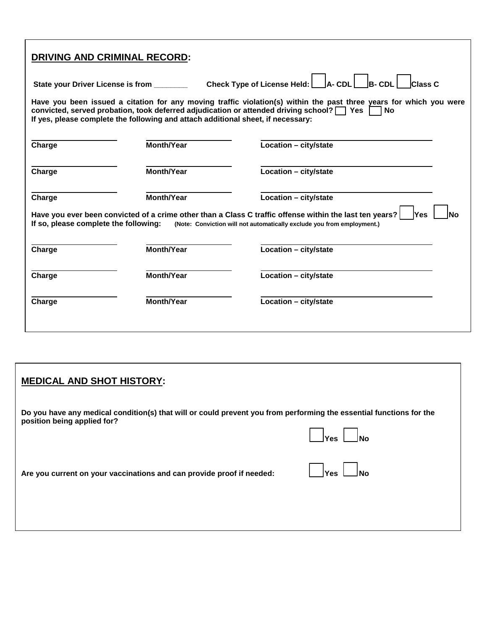| <b>DRIVING AND CRIMINAL RECORD:</b>      |                                                                                                                                                                                    |                                                                                                                                                                                                  |
|------------------------------------------|------------------------------------------------------------------------------------------------------------------------------------------------------------------------------------|--------------------------------------------------------------------------------------------------------------------------------------------------------------------------------------------------|
| State your Driver License is from ______ |                                                                                                                                                                                    | Check Type of License Held:    A- CDL    B- CDL    Class C                                                                                                                                       |
|                                          | convicted, served probation, took deferred adjudication or attended driving school? $\Box$ Yes<br>If yes, please complete the following and attach additional sheet, if necessary: | Have you been issued a citation for any moving traffic violation(s) within the past three years for which you were<br><b>No</b>                                                                  |
| Charge                                   | Month/Year                                                                                                                                                                         | Location - city/state                                                                                                                                                                            |
| Charge                                   | <b>Month/Year</b>                                                                                                                                                                  | Location - city/state                                                                                                                                                                            |
| Charge                                   | <b>Month/Year</b>                                                                                                                                                                  | Location - city/state                                                                                                                                                                            |
| If so, please complete the following:    |                                                                                                                                                                                    | Have you ever been convicted of a crime other than a Class C traffic offense within the last ten years?<br>lYes.<br>No<br>(Note: Conviction will not automatically exclude you from employment.) |
| Charge                                   | <b>Month/Year</b>                                                                                                                                                                  | Location - city/state                                                                                                                                                                            |
| Charge                                   | <b>Month/Year</b>                                                                                                                                                                  | Location - city/state                                                                                                                                                                            |
| Charge                                   | <b>Month/Year</b>                                                                                                                                                                  | Location - city/state                                                                                                                                                                            |
|                                          |                                                                                                                                                                                    |                                                                                                                                                                                                  |

# **MEDICAL AND SHOT HISTORY:**

| Do you have any medical condition(s) that will or could prevent you from performing the essential functions for the |  |
|---------------------------------------------------------------------------------------------------------------------|--|
| position being applied for?                                                                                         |  |
|                                                                                                                     |  |

 *Yes ∆No* 

| Are you current on your vaccinations and can provide proof if needed: |  | $\Box$ Yes $\Box$ No |  |  |
|-----------------------------------------------------------------------|--|----------------------|--|--|
|-----------------------------------------------------------------------|--|----------------------|--|--|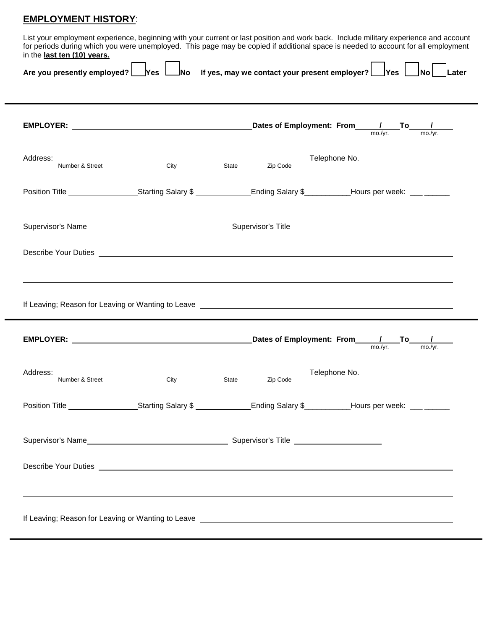## **EMPLOYMENT HISTORY**:

List your employment experience, beginning with your current or last position and work back. Include military experience and account for periods during which you were unemployed. This page may be copied if additional space is needed to account for all employment in the **last ten (10) years.**

| c .ast ten (19) years.<br>Are you presently employed? | $\,$ Yes $\,$ $\,$ $\,$ $\,$ |  | $\Box$ No  If yes, may we contact your present employer? $\Box$ Yes $\Box$ No $\vert$ $\vert$ Later                                                                                                                                  |  |  |  |  |
|-------------------------------------------------------|------------------------------|--|--------------------------------------------------------------------------------------------------------------------------------------------------------------------------------------------------------------------------------------|--|--|--|--|
|                                                       |                              |  | Dates of Employment: From $\frac{1}{\text{mo./yr.}}}$ To $\frac{1}{\text{mo./yr.}}$                                                                                                                                                  |  |  |  |  |
|                                                       |                              |  | Address: Number & Street City City State Zip Code Telephone No.                                                                                                                                                                      |  |  |  |  |
|                                                       |                              |  | Position Title ____________________Starting Salary \$_______________Ending Salary \$__________Hours per week: ___ ______                                                                                                             |  |  |  |  |
|                                                       |                              |  |                                                                                                                                                                                                                                      |  |  |  |  |
|                                                       |                              |  |                                                                                                                                                                                                                                      |  |  |  |  |
|                                                       |                              |  | If Leaving; Reason for Leaving or Wanting to Leave <b>contract the contract of the contract of the contract of the contract of the contract of the contract of the contract of the contract of the contract of the contract of t</b> |  |  |  |  |
|                                                       |                              |  |                                                                                                                                                                                                                                      |  |  |  |  |
|                                                       |                              |  | Address: Number & Street City City State Zip Code Telephone No.                                                                                                                                                                      |  |  |  |  |
|                                                       |                              |  | Position Title ___________________Starting Salary \$_______________Ending Salary \$__________Hours per week: ___ _____                                                                                                               |  |  |  |  |
|                                                       |                              |  |                                                                                                                                                                                                                                      |  |  |  |  |
|                                                       |                              |  | Describe Your Duties <u>experience</u> and the second second second second second second second second second second second second second second second second second second second second second second second second second secon  |  |  |  |  |
|                                                       |                              |  | If Leaving; Reason for Leaving or Wanting to Leave <b>construct the Construct of Leaving</b> Reason for Leaving or Wanting to Leave                                                                                                  |  |  |  |  |
|                                                       |                              |  |                                                                                                                                                                                                                                      |  |  |  |  |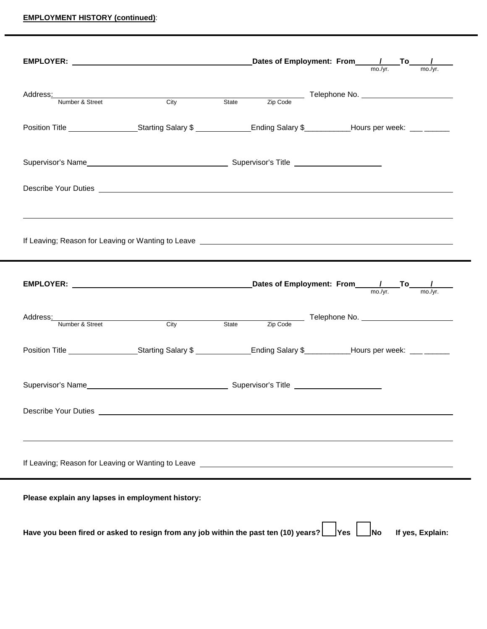#### **EMPLOYMENT HISTORY (continued)**:

| EMPLOYER: $\frac{1}{\text{max} \cdot \text{max} \cdot \text{max}}$ Dates of Employment: From $\frac{1}{\text{max} \cdot \text{max}}$ To $\frac{1}{\text{max} \cdot \text{max}}$                                                      |                                                               |  |                              |  |  |     |  |                  |
|--------------------------------------------------------------------------------------------------------------------------------------------------------------------------------------------------------------------------------------|---------------------------------------------------------------|--|------------------------------|--|--|-----|--|------------------|
|                                                                                                                                                                                                                                      |                                                               |  |                              |  |  |     |  |                  |
| Address:<br>Number & Street<br>City                                                                                                                                                                                                  |                                                               |  | State Zip Code Telephone No. |  |  |     |  |                  |
|                                                                                                                                                                                                                                      |                                                               |  |                              |  |  |     |  |                  |
| Position Title <u>Community Starting Salary \$Community Control Bullery Starting Salary \$Community Control Bullery Co</u>                                                                                                           |                                                               |  |                              |  |  |     |  |                  |
|                                                                                                                                                                                                                                      |                                                               |  |                              |  |  |     |  |                  |
|                                                                                                                                                                                                                                      |                                                               |  |                              |  |  |     |  |                  |
|                                                                                                                                                                                                                                      |                                                               |  |                              |  |  |     |  |                  |
|                                                                                                                                                                                                                                      |                                                               |  |                              |  |  |     |  |                  |
|                                                                                                                                                                                                                                      |                                                               |  |                              |  |  |     |  |                  |
|                                                                                                                                                                                                                                      |                                                               |  |                              |  |  |     |  |                  |
|                                                                                                                                                                                                                                      |                                                               |  |                              |  |  |     |  |                  |
|                                                                                                                                                                                                                                      |                                                               |  |                              |  |  |     |  |                  |
| Address: Number & Street City City State Zip Code Telephone No.                                                                                                                                                                      |                                                               |  |                              |  |  |     |  |                  |
|                                                                                                                                                                                                                                      |                                                               |  |                              |  |  |     |  |                  |
| Position Title ____________________Starting Salary \$_______________Ending Salary \$__________Hours per week: ___ ______                                                                                                             |                                                               |  |                              |  |  |     |  |                  |
|                                                                                                                                                                                                                                      |                                                               |  |                              |  |  |     |  |                  |
|                                                                                                                                                                                                                                      |                                                               |  |                              |  |  |     |  |                  |
|                                                                                                                                                                                                                                      |                                                               |  |                              |  |  |     |  |                  |
| <b>Describe Your Duties</b>                                                                                                                                                                                                          | <u> 1989 - Johann Stein, mars an deutscher Stein († 1989)</u> |  |                              |  |  |     |  |                  |
|                                                                                                                                                                                                                                      |                                                               |  |                              |  |  |     |  |                  |
|                                                                                                                                                                                                                                      |                                                               |  |                              |  |  |     |  |                  |
| If Leaving; Reason for Leaving or Wanting to Leave <b>contained a manufacture of the container of the container of the container of the contact of the contact of the contact of the contact of the contact of the contact of th</b> |                                                               |  |                              |  |  |     |  |                  |
| Please explain any lapses in employment history:                                                                                                                                                                                     |                                                               |  |                              |  |  |     |  |                  |
|                                                                                                                                                                                                                                      |                                                               |  |                              |  |  |     |  |                  |
| Have you been fired or asked to resign from any job within the past ten (10) years?   Yes                                                                                                                                            |                                                               |  |                              |  |  | _No |  | If yes, Explain: |
|                                                                                                                                                                                                                                      |                                                               |  |                              |  |  |     |  |                  |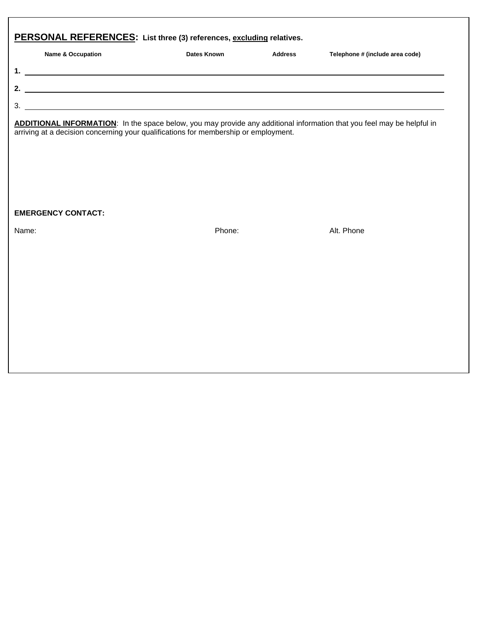| PERSONAL REFERENCES: List three (3) references, excluding relatives. |                   |             |                |                                 |  |  |  |
|----------------------------------------------------------------------|-------------------|-------------|----------------|---------------------------------|--|--|--|
|                                                                      | Name & Occupation | Dates Known | <b>Address</b> | Telephone # (include area code) |  |  |  |
| 1.                                                                   |                   |             |                |                                 |  |  |  |
| 2.                                                                   |                   |             |                |                                 |  |  |  |
| 3                                                                    |                   |             |                |                                 |  |  |  |

**ADDITIONAL INFORMATION**: In the space below, you may provide any additional information that you feel may be helpful in arriving at a decision concerning your qualifications for membership or employment.

#### **EMERGENCY CONTACT:**

Name: Phone: Alt. Phone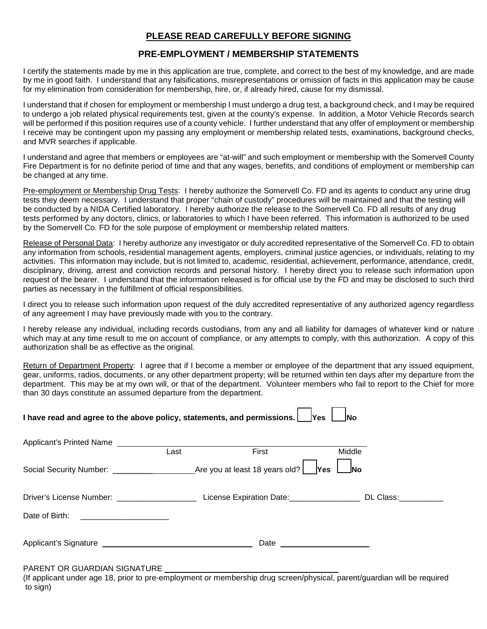#### **PLEASE READ CAREFULLY BEFORE SIGNING**

#### **PRE-EMPLOYMENT / MEMBERSHIP STATEMENTS**

I certify the statements made by me in this application are true, complete, and correct to the best of my knowledge, and are made by me in good faith. I understand that any falsifications, misrepresentations or omission of facts in this application may be cause for my elimination from consideration for membership, hire, or, if already hired, cause for my dismissal.

I understand that if chosen for employment or membership I must undergo a drug test, a background check, and I may be required to undergo a job related physical requirements test, given at the county's expense. In addition, a Motor Vehicle Records search will be performed if this position requires use of a county vehicle. I further understand that any offer of employment or membership I receive may be contingent upon my passing any employment or membership related tests, examinations, background checks, and MVR searches if applicable.

I understand and agree that members or employees are "at-will" and such employment or membership with the Somervell County Fire Department is for no definite period of time and that any wages, benefits, and conditions of employment or membership can be changed at any time.

Pre-employment or Membership Drug Tests: I hereby authorize the Somervell Co. FD and its agents to conduct any urine drug tests they deem necessary. I understand that proper "chain of custody" procedures will be maintained and that the testing will be conducted by a NIDA Certified laboratory. I hereby authorize the release to the Somervell Co. FD all results of any drug tests performed by any doctors, clinics, or laboratories to which I have been referred. This information is authorized to be used by the Somervell Co. FD for the sole purpose of employment or membership related matters.

Release of Personal Data: I hereby authorize any investigator or duly accredited representative of the Somervell Co. FD to obtain any information from schools, residential management agents, employers, criminal justice agencies, or individuals, relating to my activities. This information may include, but is not limited to, academic, residential, achievement, performance, attendance, credit, disciplinary, driving, arrest and conviction records and personal history. I hereby direct you to release such information upon request of the bearer. I understand that the information released is for official use by the FD and may be disclosed to such third parties as necessary in the fulfillment of official responsibilities.

I direct you to release such information upon request of the duly accredited representative of any authorized agency regardless of any agreement I may have previously made with you to the contrary.

I hereby release any individual, including records custodians, from any and all liability for damages of whatever kind or nature which may at any time result to me on account of compliance, or any attempts to comply, with this authorization. A copy of this authorization shall be as effective as the original.

Return of Department Property: I agree that if I become a member or employee of the department that any issued equipment, gear, uniforms, radios, documents, or any other department property; will be returned within ten days after my departure from the department. This may be at my own will, or that of the department. Volunteer members who fail to report to the Chief for more than 30 days constitute an assumed departure from the department.

| I have read and agree to the above policy, statements, and permissions.<br><b>Yes</b><br><b>No</b>                                                                                                                                  |  |      |        |  |  |  |  |
|-------------------------------------------------------------------------------------------------------------------------------------------------------------------------------------------------------------------------------------|--|------|--------|--|--|--|--|
|                                                                                                                                                                                                                                     |  |      | Middle |  |  |  |  |
|                                                                                                                                                                                                                                     |  |      |        |  |  |  |  |
|                                                                                                                                                                                                                                     |  |      |        |  |  |  |  |
| Date of Birth:<br><u> 1980 - Andrea Andrew Amerikaans III (</u>                                                                                                                                                                     |  |      |        |  |  |  |  |
| Applicant's Signature <b>example 2</b> and 2 and 2 and 2 and 2 and 2 and 2 and 2 and 2 and 2 and 2 and 2 and 2 and 2 and 2 and 2 and 2 and 2 and 2 and 2 and 2 and 2 and 2 and 2 and 2 and 2 and 2 and 2 and 2 and 2 and 2 and 2 an |  | Date |        |  |  |  |  |
| <b>BABELIT OB OUABBUAL OIOUATUBE</b>                                                                                                                                                                                                |  |      |        |  |  |  |  |

PARENT OR GUARDIAN SIGNATURE

(If applicant under age 18, prior to pre-employment or membership drug screen/physical, parent/guardian will be required to sign)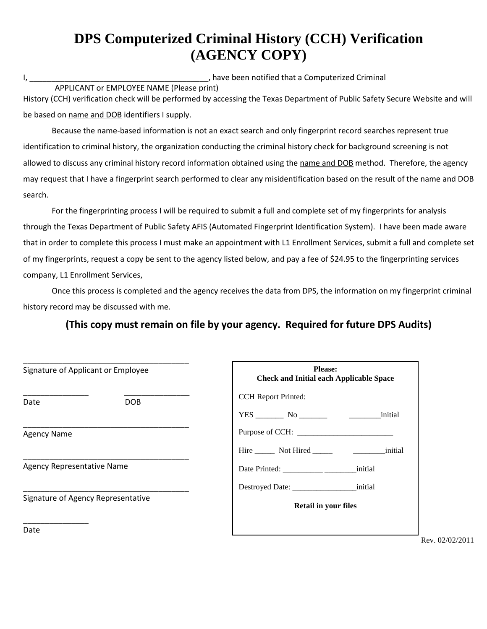# **DPS Computerized Criminal History (CCH) Verification (AGENCY COPY)**

I, \_\_\_\_\_\_\_\_\_\_\_\_\_\_\_\_\_\_\_\_\_\_\_\_\_\_\_\_\_\_\_\_\_\_\_\_\_\_\_\_\_, have been notified that a Computerized Criminal APPLICANT or EMPLOYEE NAME (Please print) History (CCH) verification check will be performed by accessing the Texas Department of Public Safety Secure Website and will

be based on name and DOB identifiers I supply.

Because the name-based information is not an exact search and only fingerprint record searches represent true identification to criminal history, the organization conducting the criminal history check for background screening is not allowed to discuss any criminal history record information obtained using the name and DOB method. Therefore, the agency may request that I have a fingerprint search performed to clear any misidentification based on the result of the name and DOB search.

For the fingerprinting process I will be required to submit a full and complete set of my fingerprints for analysis through the Texas Department of Public Safety AFIS (Automated Fingerprint Identification System). I have been made aware that in order to complete this process I must make an appointment with L1 Enrollment Services, submit a full and complete set of my fingerprints, request a copy be sent to the agency listed below, and pay a fee of \$24.95 to the fingerprinting services company, L1 Enrollment Services,

Once this process is completed and the agency receives the data from DPS, the information on my fingerprint criminal history record may be discussed with me.

## **(This copy must remain on file by your agency. Required for future DPS Audits)**

| Signature of Applicant or Employee | <b>Please:</b><br><b>Check and Initial each Applicable Space</b> |
|------------------------------------|------------------------------------------------------------------|
| <b>DOB</b><br>Date                 | <b>CCH</b> Report Printed:                                       |
|                                    | initial                                                          |
| <b>Agency Name</b>                 | Purpose of CCH:                                                  |
|                                    | Hire Not Hired https://www.finitial.com/                         |
| Agency Representative Name         |                                                                  |
|                                    |                                                                  |
| Signature of Agency Representative | <b>Retail in your files</b>                                      |
| Date                               |                                                                  |
|                                    |                                                                  |

02/02/2011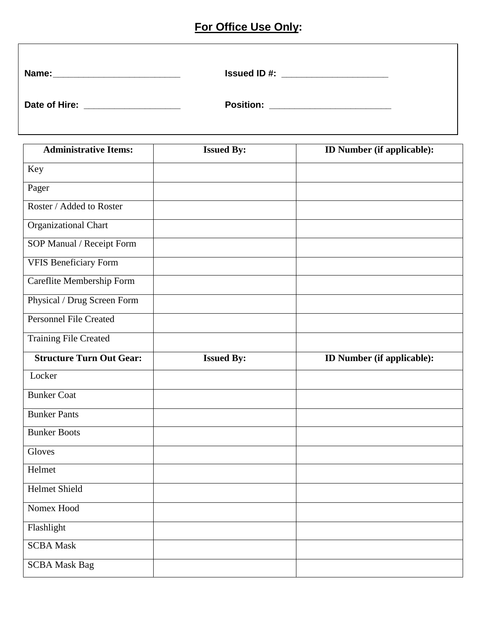# **For Office Use Only:**

| Name:         | <b>Issued ID#:</b> |
|---------------|--------------------|
|               |                    |
| Date of Hire: | <b>Position:</b>   |
|               |                    |

| <b>Administrative Items:</b>    | <b>Issued By:</b> | ID Number (if applicable): |
|---------------------------------|-------------------|----------------------------|
| Key                             |                   |                            |
| Pager                           |                   |                            |
| Roster / Added to Roster        |                   |                            |
| Organizational Chart            |                   |                            |
| SOP Manual / Receipt Form       |                   |                            |
| <b>VFIS Beneficiary Form</b>    |                   |                            |
| Careflite Membership Form       |                   |                            |
| Physical / Drug Screen Form     |                   |                            |
| <b>Personnel File Created</b>   |                   |                            |
| <b>Training File Created</b>    |                   |                            |
| <b>Structure Turn Out Gear:</b> | <b>Issued By:</b> | ID Number (if applicable): |
| Locker                          |                   |                            |
| <b>Bunker Coat</b>              |                   |                            |
| <b>Bunker Pants</b>             |                   |                            |
| <b>Bunker Boots</b>             |                   |                            |
| Gloves                          |                   |                            |
| Helmet                          |                   |                            |
| <b>Helmet Shield</b>            |                   |                            |
| Nomex Hood                      |                   |                            |
| Flashlight                      |                   |                            |
| <b>SCBA Mask</b>                |                   |                            |
| <b>SCBA Mask Bag</b>            |                   |                            |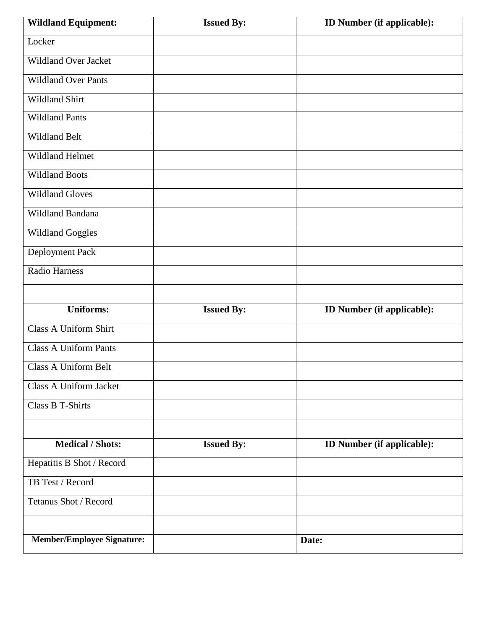| <b>Wildland Equipment:</b>        | <b>Issued By:</b> | ID Number (if applicable):        |
|-----------------------------------|-------------------|-----------------------------------|
| Locker                            |                   |                                   |
| <b>Wildland Over Jacket</b>       |                   |                                   |
| <b>Wildland Over Pants</b>        |                   |                                   |
| Wildland Shirt                    |                   |                                   |
| <b>Wildland Pants</b>             |                   |                                   |
| Wildland Belt                     |                   |                                   |
| Wildland Helmet                   |                   |                                   |
| <b>Wildland Boots</b>             |                   |                                   |
| <b>Wildland Gloves</b>            |                   |                                   |
| Wildland Bandana                  |                   |                                   |
| <b>Wildland Goggles</b>           |                   |                                   |
| Deployment Pack                   |                   |                                   |
| <b>Radio Harness</b>              |                   |                                   |
|                                   |                   |                                   |
| <b>Uniforms:</b>                  | <b>Issued By:</b> | ID Number (if applicable):        |
| <b>Class A Uniform Shirt</b>      |                   |                                   |
| <b>Class A Uniform Pants</b>      |                   |                                   |
| <b>Class A Uniform Belt</b>       |                   |                                   |
| Class A Uniform Jacket            |                   |                                   |
| <b>Class B T-Shirts</b>           |                   |                                   |
|                                   |                   |                                   |
| <b>Medical / Shots:</b>           | <b>Issued By:</b> | <b>ID Number (if applicable):</b> |
| Hepatitis B Shot / Record         |                   |                                   |
| TB Test / Record                  |                   |                                   |
| Tetanus Shot / Record             |                   |                                   |
|                                   |                   |                                   |
| <b>Member/Employee Signature:</b> |                   | Date:                             |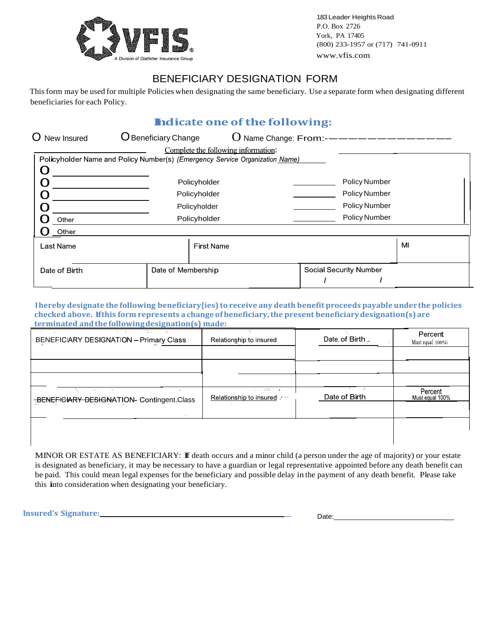

183 Leader Heights Road P.O. Box 2726 York, PA 17405 (800) 233-1957 or (717) 741-0911 www.vfis.com

## BENEFICIARY DESIGNATION FORM

This form may be used for multiple Policies when designating the same beneficiary. Use a separate form when designating different beneficiaries for each Policy.

# **Indicate one of the following:**

|               |                                                                              | <b>Indicate one of the following:</b> |    |
|---------------|------------------------------------------------------------------------------|---------------------------------------|----|
| O New Insured | <b>O</b> Beneficiary Change                                                  | $O$ Name Change: From:- $\_\_\_\_\$   |    |
|               | Complete the following information:                                          |                                       |    |
|               | Policyholder Name and Policy Number(s) (Emergency Service Organization Name) |                                       |    |
|               | Policyholder                                                                 | <b>Policy Number</b>                  |    |
|               | Policyholder                                                                 | Policy Number                         |    |
|               | Policyholder                                                                 | <b>Policy Number</b>                  |    |
| Other         | Policyholder                                                                 | <b>Policy Number</b>                  |    |
| Other         |                                                                              |                                       |    |
| Last Name     | <b>First Name</b>                                                            |                                       | MI |
| Date of Birth | Date of Membership                                                           | <b>Social Security Number</b>         |    |

**Ihereby designate the following beneficiary{ies) to receive any death benefit proceeds payable underthe policies checked above. Ifthis form represents a changeof beneficiary,the present beneficiarydesignation(s) are terminated andthefollowingdesignation(s) made:**

| Relationship to insured | Date of Birth        | Percent<br>Must equal 100% |
|-------------------------|----------------------|----------------------------|
|                         |                      |                            |
|                         |                      |                            |
|                         |                      |                            |
| Relationship to insured | Date of Birth        | Percent<br>Must equal 100% |
|                         |                      |                            |
|                         |                      |                            |
|                         | and the state of the |                            |

MINOR OR ESTATE AS BENEFICIARY: If death occurs and <sup>a</sup> minor child (a person under the age of majority) or your estate is designated as beneficiary, it may be necessary to have a guardian or legal representative appointed before any death benefit can be paid. This could mean legal expenses for the beneficiary and possible delay in the payment of any death benefit. Please take this into consideration when designating your beneficiary.

**lnsured's Signature: \_** Date: \_